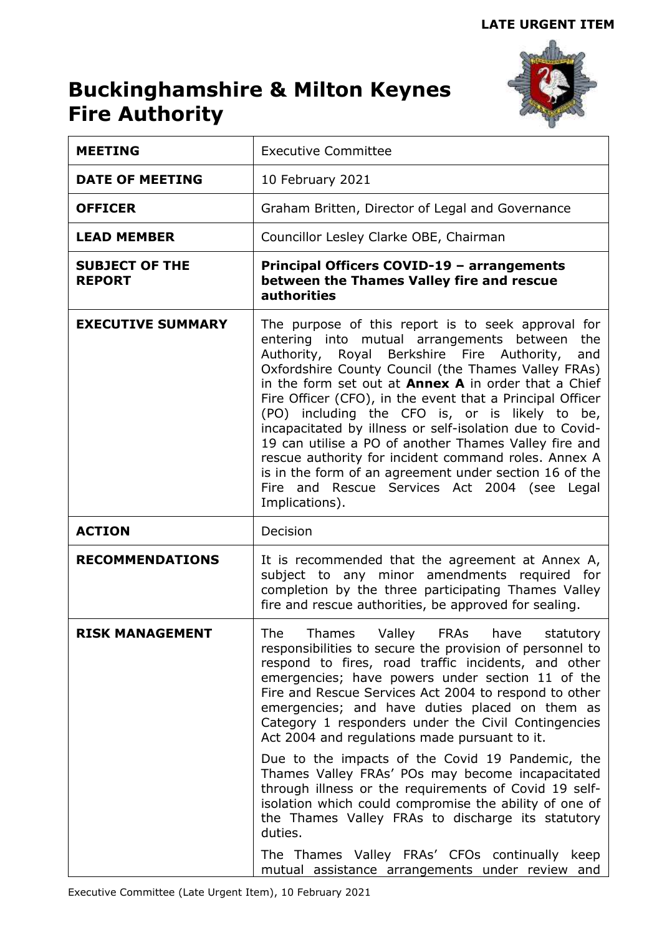# **Buckinghamshire & Milton Keynes Fire Authority**



| <b>MEETING</b>                         | <b>Executive Committee</b>                                                                                                                                                                                                                                                                                                                                                                                                                                                                                                                                                                                                                                                                             |  |  |
|----------------------------------------|--------------------------------------------------------------------------------------------------------------------------------------------------------------------------------------------------------------------------------------------------------------------------------------------------------------------------------------------------------------------------------------------------------------------------------------------------------------------------------------------------------------------------------------------------------------------------------------------------------------------------------------------------------------------------------------------------------|--|--|
| <b>DATE OF MEETING</b>                 | 10 February 2021                                                                                                                                                                                                                                                                                                                                                                                                                                                                                                                                                                                                                                                                                       |  |  |
| <b>OFFICER</b>                         | Graham Britten, Director of Legal and Governance                                                                                                                                                                                                                                                                                                                                                                                                                                                                                                                                                                                                                                                       |  |  |
| <b>LEAD MEMBER</b>                     | Councillor Lesley Clarke OBE, Chairman                                                                                                                                                                                                                                                                                                                                                                                                                                                                                                                                                                                                                                                                 |  |  |
| <b>SUBJECT OF THE</b><br><b>REPORT</b> | Principal Officers COVID-19 - arrangements<br>between the Thames Valley fire and rescue<br><b>authorities</b>                                                                                                                                                                                                                                                                                                                                                                                                                                                                                                                                                                                          |  |  |
| <b>EXECUTIVE SUMMARY</b>               | The purpose of this report is to seek approval for<br>entering into mutual arrangements between the<br>Authority, Royal Berkshire Fire Authority,<br>and<br>Oxfordshire County Council (the Thames Valley FRAs)<br>in the form set out at <b>Annex A</b> in order that a Chief<br>Fire Officer (CFO), in the event that a Principal Officer<br>(PO) including the CFO is, or is likely to be,<br>incapacitated by illness or self-isolation due to Covid-<br>19 can utilise a PO of another Thames Valley fire and<br>rescue authority for incident command roles. Annex A<br>is in the form of an agreement under section 16 of the<br>Fire and Rescue Services Act 2004 (see Legal<br>Implications). |  |  |
| <b>ACTION</b>                          | Decision                                                                                                                                                                                                                                                                                                                                                                                                                                                                                                                                                                                                                                                                                               |  |  |
| <b>RECOMMENDATIONS</b>                 | It is recommended that the agreement at Annex A,<br>subject to any minor amendments required for<br>completion by the three participating Thames Valley<br>fire and rescue authorities, be approved for sealing.                                                                                                                                                                                                                                                                                                                                                                                                                                                                                       |  |  |
| <b>RISK MANAGEMENT</b>                 | The Thames Valley FRAs have statutory<br>responsibilities to secure the provision of personnel to<br>respond to fires, road traffic incidents, and other<br>emergencies; have powers under section 11 of the<br>Fire and Rescue Services Act 2004 to respond to other<br>emergencies; and have duties placed on them as<br>Category 1 responders under the Civil Contingencies<br>Act 2004 and regulations made pursuant to it.                                                                                                                                                                                                                                                                        |  |  |
|                                        | Due to the impacts of the Covid 19 Pandemic, the<br>Thames Valley FRAs' POs may become incapacitated<br>through illness or the requirements of Covid 19 self-<br>isolation which could compromise the ability of one of<br>the Thames Valley FRAs to discharge its statutory<br>duties.                                                                                                                                                                                                                                                                                                                                                                                                                |  |  |
|                                        | The Thames Valley FRAs' CFOs continually keep<br>mutual assistance arrangements under review and                                                                                                                                                                                                                                                                                                                                                                                                                                                                                                                                                                                                       |  |  |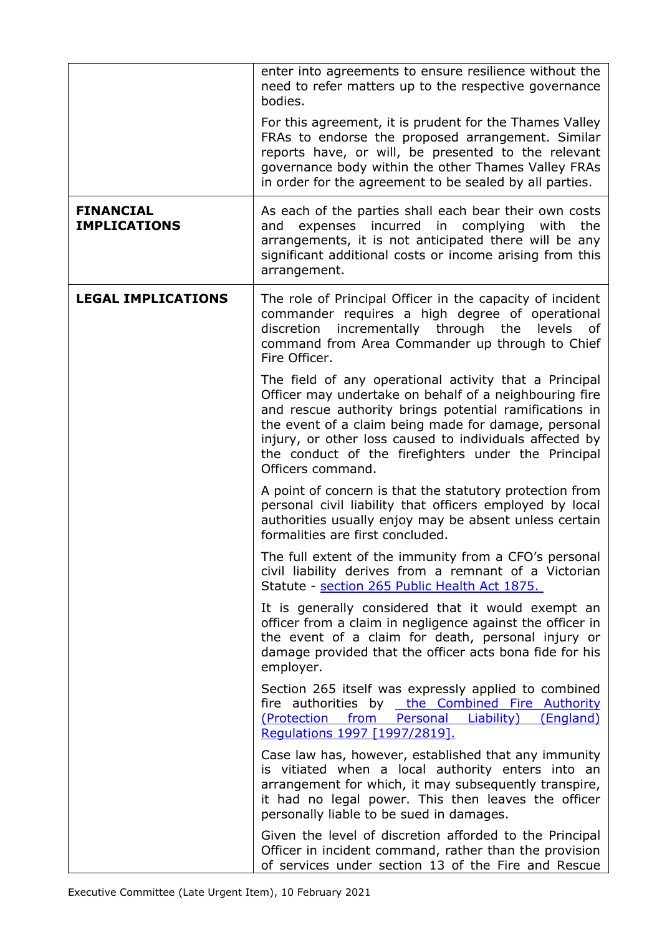|                                         | enter into agreements to ensure resilience without the<br>need to refer matters up to the respective governance<br>bodies.                                                                                                                                                                                                                                                |  |  |  |
|-----------------------------------------|---------------------------------------------------------------------------------------------------------------------------------------------------------------------------------------------------------------------------------------------------------------------------------------------------------------------------------------------------------------------------|--|--|--|
|                                         | For this agreement, it is prudent for the Thames Valley<br>FRAs to endorse the proposed arrangement. Similar<br>reports have, or will, be presented to the relevant<br>governance body within the other Thames Valley FRAs<br>in order for the agreement to be sealed by all parties.                                                                                     |  |  |  |
| <b>FINANCIAL</b><br><b>IMPLICATIONS</b> | As each of the parties shall each bear their own costs<br>expenses incurred in complying with<br>the<br>and<br>arrangements, it is not anticipated there will be any<br>significant additional costs or income arising from this<br>arrangement.                                                                                                                          |  |  |  |
| <b>LEGAL IMPLICATIONS</b>               | The role of Principal Officer in the capacity of incident<br>commander requires a high degree of operational<br>incrementally through<br>discretion<br>the<br>levels<br>οf<br>command from Area Commander up through to Chief<br>Fire Officer.                                                                                                                            |  |  |  |
|                                         | The field of any operational activity that a Principal<br>Officer may undertake on behalf of a neighbouring fire<br>and rescue authority brings potential ramifications in<br>the event of a claim being made for damage, personal<br>injury, or other loss caused to individuals affected by<br>the conduct of the firefighters under the Principal<br>Officers command. |  |  |  |
|                                         | A point of concern is that the statutory protection from<br>personal civil liability that officers employed by local<br>authorities usually enjoy may be absent unless certain<br>formalities are first concluded.                                                                                                                                                        |  |  |  |
|                                         | The full extent of the immunity from a CFO's personal<br>civil liability derives from a remnant of a Victorian<br>Statute - section 265 Public Health Act 1875.                                                                                                                                                                                                           |  |  |  |
|                                         | It is generally considered that it would exempt an<br>officer from a claim in negligence against the officer in<br>the event of a claim for death, personal injury or<br>damage provided that the officer acts bona fide for his<br>employer.                                                                                                                             |  |  |  |
|                                         | Section 265 itself was expressly applied to combined<br>fire authorities by the Combined Fire Authority<br>(Protection from Personal Liability) (England)<br>Regulations 1997 [1997/2819].                                                                                                                                                                                |  |  |  |
|                                         | Case law has, however, established that any immunity<br>is vitiated when a local authority enters into an<br>arrangement for which, it may subsequently transpire,<br>it had no legal power. This then leaves the officer<br>personally liable to be sued in damages.                                                                                                     |  |  |  |
|                                         | Given the level of discretion afforded to the Principal<br>Officer in incident command, rather than the provision<br>of services under section 13 of the Fire and Rescue                                                                                                                                                                                                  |  |  |  |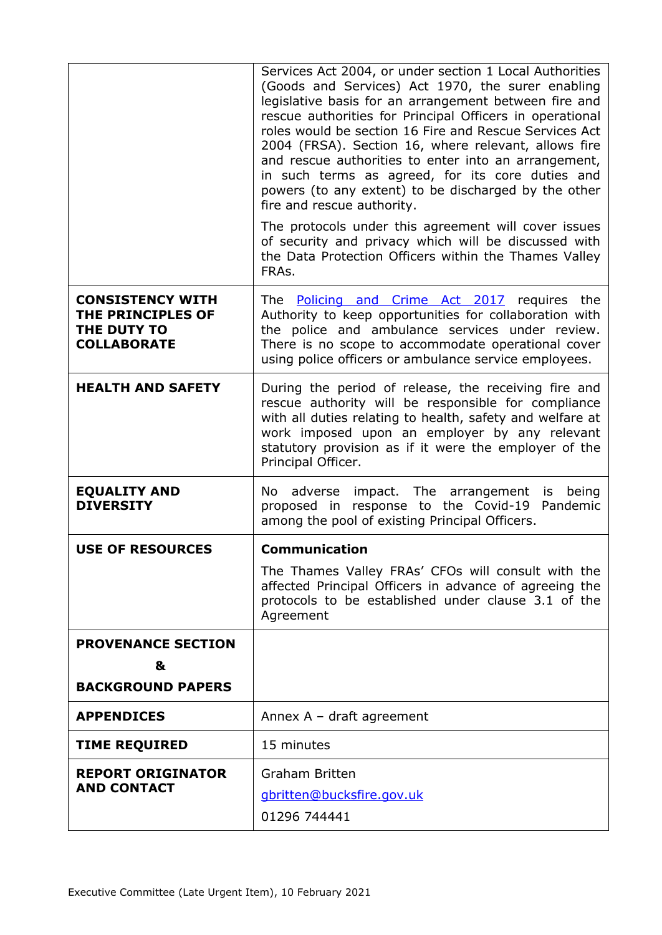|                                                                                   | Services Act 2004, or under section 1 Local Authorities<br>(Goods and Services) Act 1970, the surer enabling<br>legislative basis for an arrangement between fire and<br>rescue authorities for Principal Officers in operational<br>roles would be section 16 Fire and Rescue Services Act<br>2004 (FRSA). Section 16, where relevant, allows fire<br>and rescue authorities to enter into an arrangement,<br>in such terms as agreed, for its core duties and<br>powers (to any extent) to be discharged by the other<br>fire and rescue authority.<br>The protocols under this agreement will cover issues<br>of security and privacy which will be discussed with<br>the Data Protection Officers within the Thames Valley<br>FRAs. |  |
|-----------------------------------------------------------------------------------|-----------------------------------------------------------------------------------------------------------------------------------------------------------------------------------------------------------------------------------------------------------------------------------------------------------------------------------------------------------------------------------------------------------------------------------------------------------------------------------------------------------------------------------------------------------------------------------------------------------------------------------------------------------------------------------------------------------------------------------------|--|
| <b>CONSISTENCY WITH</b><br>THE PRINCIPLES OF<br>THE DUTY TO<br><b>COLLABORATE</b> | The <b>Policing and Crime Act 2017</b> requires the<br>Authority to keep opportunities for collaboration with<br>the police and ambulance services under review.<br>There is no scope to accommodate operational cover<br>using police officers or ambulance service employees.                                                                                                                                                                                                                                                                                                                                                                                                                                                         |  |
| <b>HEALTH AND SAFETY</b>                                                          | During the period of release, the receiving fire and<br>rescue authority will be responsible for compliance<br>with all duties relating to health, safety and welfare at<br>work imposed upon an employer by any relevant<br>statutory provision as if it were the employer of the<br>Principal Officer.                                                                                                                                                                                                                                                                                                                                                                                                                                |  |
| <b>EQUALITY AND</b><br><b>DIVERSITY</b>                                           | No adverse impact. The arrangement<br>is being<br>proposed in response to the Covid-19<br>Pandemic<br>among the pool of existing Principal Officers.                                                                                                                                                                                                                                                                                                                                                                                                                                                                                                                                                                                    |  |
| <b>USE OF RESOURCES</b>                                                           | <b>Communication</b><br>The Thames Valley FRAs' CFOs will consult with the<br>affected Principal Officers in advance of agreeing the<br>protocols to be established under clause 3.1 of the<br>Agreement                                                                                                                                                                                                                                                                                                                                                                                                                                                                                                                                |  |
| <b>PROVENANCE SECTION</b><br>&<br><b>BACKGROUND PAPERS</b>                        |                                                                                                                                                                                                                                                                                                                                                                                                                                                                                                                                                                                                                                                                                                                                         |  |
| <b>APPENDICES</b>                                                                 | Annex $A - dr$ aft agreement                                                                                                                                                                                                                                                                                                                                                                                                                                                                                                                                                                                                                                                                                                            |  |
| <b>TIME REQUIRED</b>                                                              | 15 minutes                                                                                                                                                                                                                                                                                                                                                                                                                                                                                                                                                                                                                                                                                                                              |  |
| <b>REPORT ORIGINATOR</b><br><b>AND CONTACT</b>                                    | <b>Graham Britten</b><br>gbritten@bucksfire.gov.uk<br>01296 744441                                                                                                                                                                                                                                                                                                                                                                                                                                                                                                                                                                                                                                                                      |  |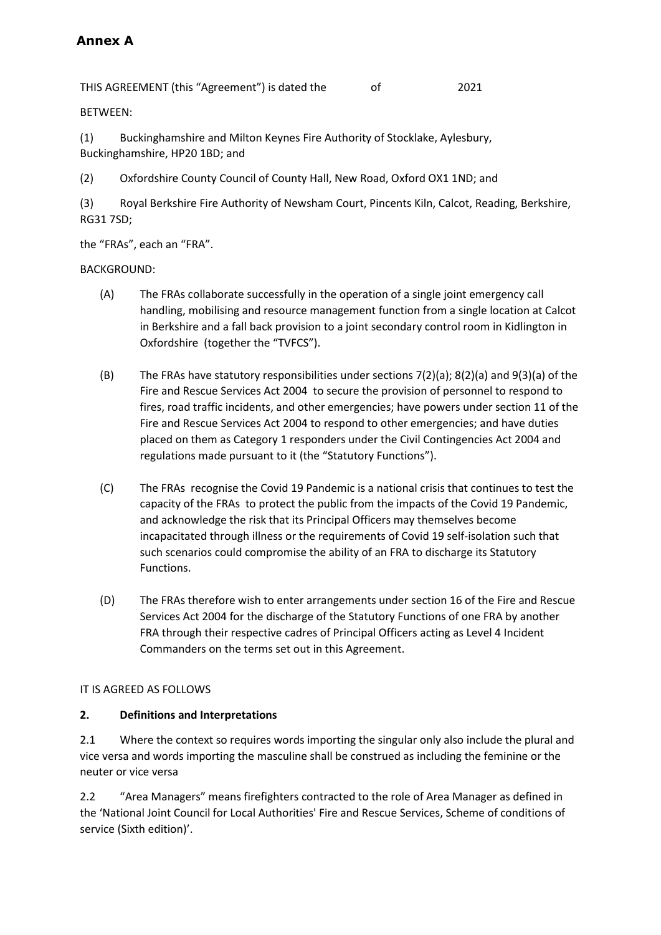# **Annex A**

THIS AGREEMENT (this "Agreement") is dated the of 2021

BETWEEN:

(1) Buckinghamshire and Milton Keynes Fire Authority of Stocklake, Aylesbury, Buckinghamshire, HP20 1BD; and

(2) Oxfordshire County Council of County Hall, New Road, Oxford OX1 1ND; and

(3) Royal Berkshire Fire Authority of Newsham Court, Pincents Kiln, Calcot, Reading, Berkshire, RG31 7SD;

the "FRAs", each an "FRA".

BACKGROUND:

- (A) The FRAs collaborate successfully in the operation of a single joint emergency call handling, mobilising and resource management function from a single location at Calcot in Berkshire and a fall back provision to a joint secondary control room in Kidlington in Oxfordshire (together the "TVFCS").
- (B) The FRAs have statutory responsibilities under sections 7(2)(a); 8(2)(a) and 9(3)(a) of the Fire and Rescue Services Act 2004 to secure the provision of personnel to respond to fires, road traffic incidents, and other emergencies; have powers under section 11 of the Fire and Rescue Services Act 2004 to respond to other emergencies; and have duties placed on them as Category 1 responders under the Civil Contingencies Act 2004 and regulations made pursuant to it (the "Statutory Functions").
- (C) The FRAs recognise the Covid 19 Pandemic is a national crisis that continues to test the capacity of the FRAs to protect the public from the impacts of the Covid 19 Pandemic, and acknowledge the risk that its Principal Officers may themselves become incapacitated through illness or the requirements of Covid 19 self-isolation such that such scenarios could compromise the ability of an FRA to discharge its Statutory Functions.
- (D) The FRAs therefore wish to enter arrangements under section 16 of the Fire and Rescue Services Act 2004 for the discharge of the Statutory Functions of one FRA by another FRA through their respective cadres of Principal Officers acting as Level 4 Incident Commanders on the terms set out in this Agreement.

# IT IS AGREED AS FOLLOWS

#### **2. Definitions and Interpretations**

2.1 Where the context so requires words importing the singular only also include the plural and vice versa and words importing the masculine shall be construed as including the feminine or the neuter or vice versa

2.2 "Area Managers" means firefighters contracted to the role of Area Manager as defined in the 'National Joint Council for Local Authorities' Fire and Rescue Services, Scheme of conditions of service (Sixth edition)'.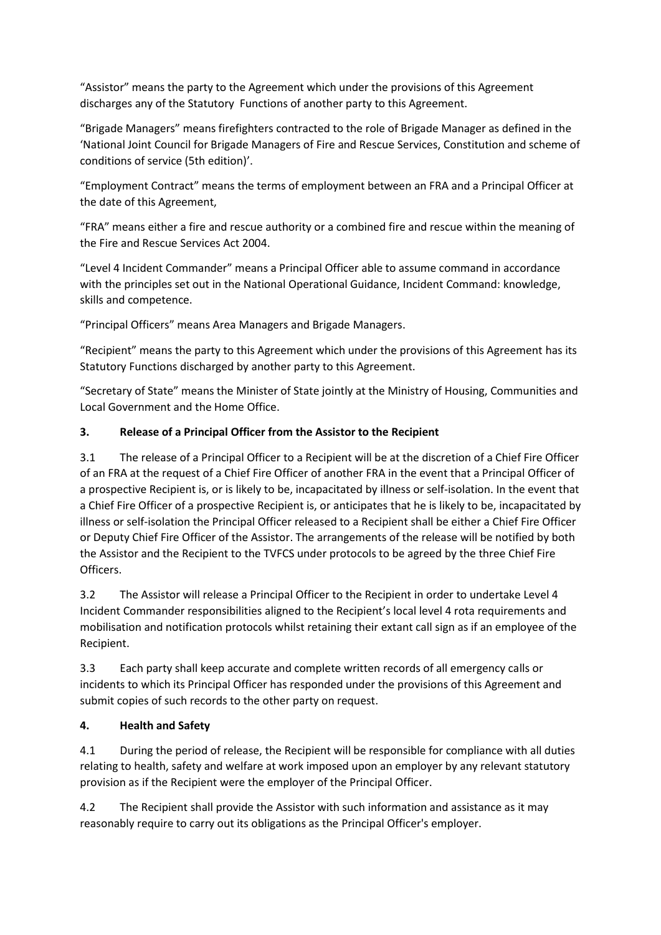"Assistor" means the party to the Agreement which under the provisions of this Agreement discharges any of the Statutory Functions of another party to this Agreement.

"Brigade Managers" means firefighters contracted to the role of Brigade Manager as defined in the 'National Joint Council for Brigade Managers of Fire and Rescue Services, Constitution and scheme of conditions of service (5th edition)'.

"Employment Contract" means the terms of employment between an FRA and a Principal Officer at the date of this Agreement,

"FRA" means either a fire and rescue authority or a combined fire and rescue within the meaning of the Fire and Rescue Services Act 2004.

"Level 4 Incident Commander" means a Principal Officer able to assume command in accordance with the principles set out in the National Operational Guidance, Incident Command: knowledge, skills and competence.

"Principal Officers" means Area Managers and Brigade Managers.

"Recipient" means the party to this Agreement which under the provisions of this Agreement has its Statutory Functions discharged by another party to this Agreement.

"Secretary of State" means the Minister of State jointly at the Ministry of Housing, Communities and Local Government and the Home Office.

# **3. Release of a Principal Officer from the Assistor to the Recipient**

3.1 The release of a Principal Officer to a Recipient will be at the discretion of a Chief Fire Officer of an FRA at the request of a Chief Fire Officer of another FRA in the event that a Principal Officer of a prospective Recipient is, or is likely to be, incapacitated by illness or self-isolation. In the event that a Chief Fire Officer of a prospective Recipient is, or anticipates that he is likely to be, incapacitated by illness or self-isolation the Principal Officer released to a Recipient shall be either a Chief Fire Officer or Deputy Chief Fire Officer of the Assistor. The arrangements of the release will be notified by both the Assistor and the Recipient to the TVFCS under protocols to be agreed by the three Chief Fire Officers.

3.2 The Assistor will release a Principal Officer to the Recipient in order to undertake Level 4 Incident Commander responsibilities aligned to the Recipient's local level 4 rota requirements and mobilisation and notification protocols whilst retaining their extant call sign as if an employee of the Recipient.

3.3 Each party shall keep accurate and complete written records of all emergency calls or incidents to which its Principal Officer has responded under the provisions of this Agreement and submit copies of such records to the other party on request.

#### **4. Health and Safety**

4.1 During the period of release, the Recipient will be responsible for compliance with all duties relating to health, safety and welfare at work imposed upon an employer by any relevant statutory provision as if the Recipient were the employer of the Principal Officer.

4.2 The Recipient shall provide the Assistor with such information and assistance as it may reasonably require to carry out its obligations as the Principal Officer's employer.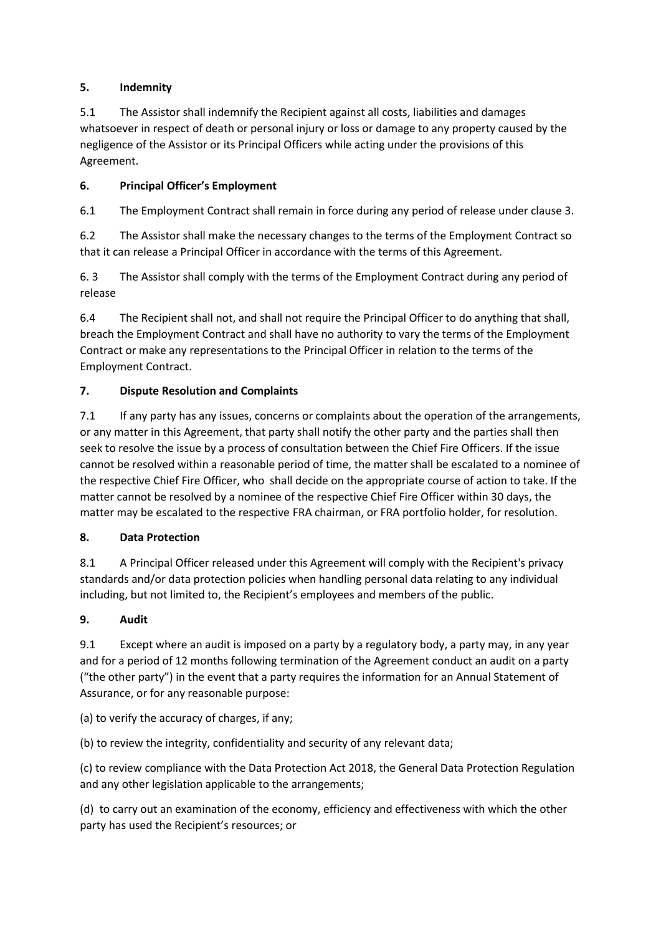# **5. Indemnity**

5.1 The Assistor shall indemnify the Recipient against all costs, liabilities and damages whatsoever in respect of death or personal injury or loss or damage to any property caused by the negligence of the Assistor or its Principal Officers while acting under the provisions of this Agreement.

# **6. Principal Officer's Employment**

6.1 The Employment Contract shall remain in force during any period of release under clause 3.

6.2 The Assistor shall make the necessary changes to the terms of the Employment Contract so that it can release a Principal Officer in accordance with the terms of this Agreement.

6. 3 The Assistor shall comply with the terms of the Employment Contract during any period of release

6.4 The Recipient shall not, and shall not require the Principal Officer to do anything that shall, breach the Employment Contract and shall have no authority to vary the terms of the Employment Contract or make any representations to the Principal Officer in relation to the terms of the Employment Contract.

# **7. Dispute Resolution and Complaints**

7.1 If any party has any issues, concerns or complaints about the operation of the arrangements, or any matter in this Agreement, that party shall notify the other party and the parties shall then seek to resolve the issue by a process of consultation between the Chief Fire Officers. If the issue cannot be resolved within a reasonable period of time, the matter shall be escalated to a nominee of the respective Chief Fire Officer, who shall decide on the appropriate course of action to take. If the matter cannot be resolved by a nominee of the respective Chief Fire Officer within 30 days, the matter may be escalated to the respective FRA chairman, or FRA portfolio holder, for resolution.

#### **8. Data Protection**

8.1 A Principal Officer released under this Agreement will comply with the Recipient's privacy standards and/or data protection policies when handling personal data relating to any individual including, but not limited to, the Recipient's employees and members of the public.

#### **9. Audit**

9.1 Except where an audit is imposed on a party by a regulatory body, a party may, in any year and for a period of 12 months following termination of the Agreement conduct an audit on a party ("the other party") in the event that a party requires the information for an Annual Statement of Assurance, or for any reasonable purpose:

(a) to verify the accuracy of charges, if any;

(b) to review the integrity, confidentiality and security of any relevant data;

(c) to review compliance with the Data Protection Act 2018, the General Data Protection Regulation and any other legislation applicable to the arrangements;

(d) to carry out an examination of the economy, efficiency and effectiveness with which the other party has used the Recipient's resources; or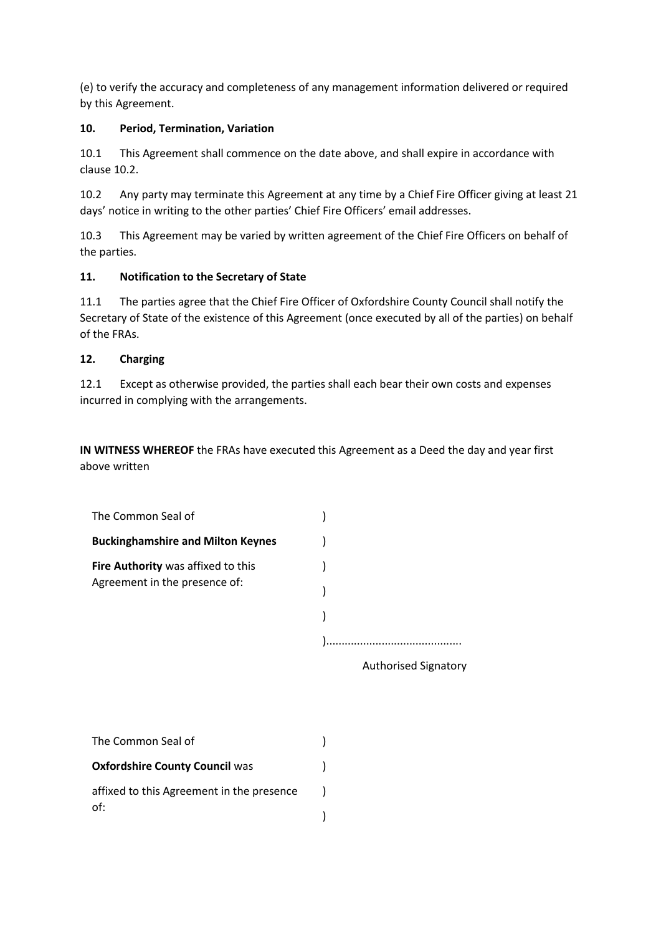(e) to verify the accuracy and completeness of any management information delivered or required by this Agreement.

#### **10. Period, Termination, Variation**

10.1 This Agreement shall commence on the date above, and shall expire in accordance with clause 10.2.

10.2 Any party may terminate this Agreement at any time by a Chief Fire Officer giving at least 21 days' notice in writing to the other parties' Chief Fire Officers' email addresses.

10.3 This Agreement may be varied by written agreement of the Chief Fire Officers on behalf of the parties.

# **11. Notification to the Secretary of State**

11.1 The parties agree that the Chief Fire Officer of Oxfordshire County Council shall notify the Secretary of State of the existence of this Agreement (once executed by all of the parties) on behalf of the FRAs.

# **12. Charging**

12.1 Except as otherwise provided, the parties shall each bear their own costs and expenses incurred in complying with the arrangements.

**IN WITNESS WHEREOF** the FRAs have executed this Agreement as a Deed the day and year first above written

Authorised Signatory

| The Common Seal of                        |  |
|-------------------------------------------|--|
| <b>Oxfordshire County Council was</b>     |  |
| affixed to this Agreement in the presence |  |
| of:                                       |  |